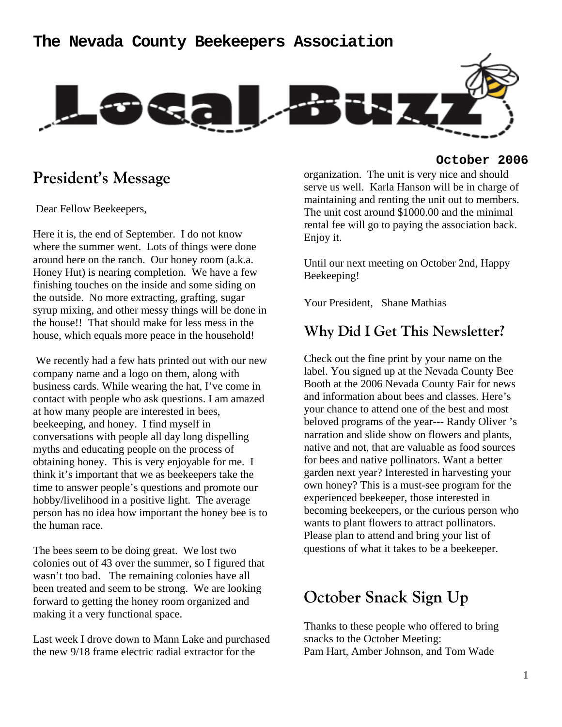### **The Nevada County Beekeepers Association**



### **President's Message**

Dear Fellow Beekeepers,

Here it is, the end of September. I do not know where the summer went. Lots of things were done around here on the ranch. Our honey room (a.k.a. Honey Hut) is nearing completion. We have a few finishing touches on the inside and some siding on the outside. No more extracting, grafting, sugar syrup mixing, and other messy things will be done in the house!! That should make for less mess in the house, which equals more peace in the household!

 We recently had a few hats printed out with our new company name and a logo on them, along with business cards. While wearing the hat, I've come in contact with people who ask questions. I am amazed at how many people are interested in bees, beekeeping, and honey. I find myself in conversations with people all day long dispelling myths and educating people on the process of obtaining honey. This is very enjoyable for me. I think it's important that we as beekeepers take the time to answer people's questions and promote our hobby/livelihood in a positive light. The average person has no idea how important the honey bee is to the human race.

The bees seem to be doing great. We lost two colonies out of 43 over the summer, so I figured that wasn't too bad. The remaining colonies have all been treated and seem to be strong. We are looking forward to getting the honey room organized and making it a very functional space.

Last week I drove down to Mann Lake and purchased the new 9/18 frame electric radial extractor for the

#### **October 2006**

organization. The unit is very nice and should serve us well. Karla Hanson will be in charge of maintaining and renting the unit out to members. The unit cost around \$1000.00 and the minimal rental fee will go to paying the association back. Enjoy it.

Until our next meeting on October 2nd, Happy Beekeeping!

Your President, Shane Mathias

### **Why Did I Get This Newsletter?**

Check out the fine print by your name on the label. You signed up at the Nevada County Bee Booth at the 2006 Nevada County Fair for news and information about bees and classes. Here's your chance to attend one of the best and most beloved programs of the year--- Randy Oliver 's narration and slide show on flowers and plants, native and not, that are valuable as food sources for bees and native pollinators. Want a better garden next year? Interested in harvesting your own honey? This is a must-see program for the experienced beekeeper, those interested in becoming beekeepers, or the curious person who wants to plant flowers to attract pollinators. Please plan to attend and bring your list of questions of what it takes to be a beekeeper.

## **October Snack Sign Up**

Thanks to these people who offered to bring snacks to the October Meeting: Pam Hart, Amber Johnson, and Tom Wade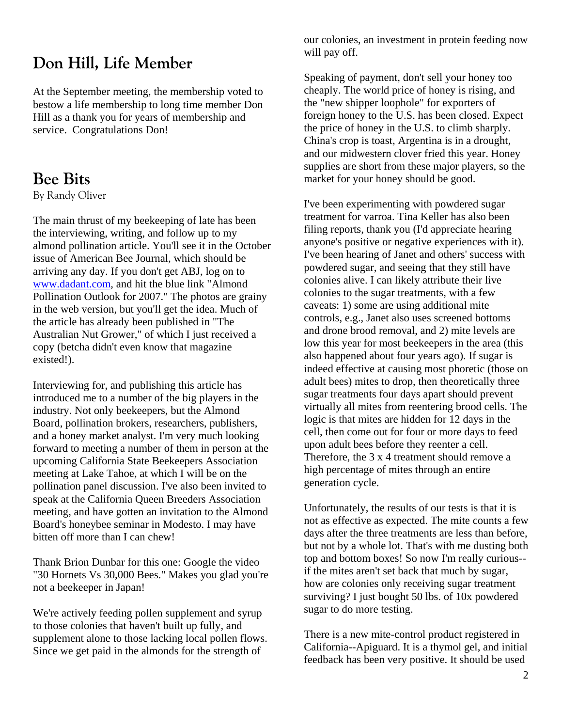# **Don Hill, Life Member**

At the September meeting, the membership voted to bestow a life membership to long time member Don Hill as a thank you for years of membership and service. Congratulations Don!

### **Bee Bits**

By Randy Oliver

The main thrust of my beekeeping of late has been the interviewing, writing, and follow up to my almond pollination article. You'll see it in the October issue of American Bee Journal, which should be arriving any day. If you don't get ABJ, log on to www.dadant.com, and hit the blue link "Almond Pollination Outlook for 2007." The photos are grainy in the web version, but you'll get the idea. Much of the article has already been published in "The Australian Nut Grower," of which I just received a copy (betcha didn't even know that magazine existed!).

Interviewing for, and publishing this article has introduced me to a number of the big players in the industry. Not only beekeepers, but the Almond Board, pollination brokers, researchers, publishers, and a honey market analyst. I'm very much looking forward to meeting a number of them in person at the upcoming California State Beekeepers Association meeting at Lake Tahoe, at which I will be on the pollination panel discussion. I've also been invited to speak at the California Queen Breeders Association meeting, and have gotten an invitation to the Almond Board's honeybee seminar in Modesto. I may have bitten off more than I can chew!

Thank Brion Dunbar for this one: Google the video "30 Hornets Vs 30,000 Bees." Makes you glad you're not a beekeeper in Japan!

We're actively feeding pollen supplement and syrup to those colonies that haven't built up fully, and supplement alone to those lacking local pollen flows. Since we get paid in the almonds for the strength of

our colonies, an investment in protein feeding now will pay off.

Speaking of payment, don't sell your honey too cheaply. The world price of honey is rising, and the "new shipper loophole" for exporters of foreign honey to the U.S. has been closed. Expect the price of honey in the U.S. to climb sharply. China's crop is toast, Argentina is in a drought, and our midwestern clover fried this year. Honey supplies are short from these major players, so the market for your honey should be good.

I've been experimenting with powdered sugar treatment for varroa. Tina Keller has also been filing reports, thank you (I'd appreciate hearing anyone's positive or negative experiences with it). I've been hearing of Janet and others' success with powdered sugar, and seeing that they still have colonies alive. I can likely attribute their live colonies to the sugar treatments, with a few caveats: 1) some are using additional mite controls, e.g., Janet also uses screened bottoms and drone brood removal, and 2) mite levels are low this year for most beekeepers in the area (this also happened about four years ago). If sugar is indeed effective at causing most phoretic (those on adult bees) mites to drop, then theoretically three sugar treatments four days apart should prevent virtually all mites from reentering brood cells. The logic is that mites are hidden for 12 days in the cell, then come out for four or more days to feed upon adult bees before they reenter a cell. Therefore, the 3 x 4 treatment should remove a high percentage of mites through an entire generation cycle.

Unfortunately, the results of our tests is that it is not as effective as expected. The mite counts a few days after the three treatments are less than before, but not by a whole lot. That's with me dusting both top and bottom boxes! So now I'm really curious- if the mites aren't set back that much by sugar, how are colonies only receiving sugar treatment surviving? I just bought 50 lbs. of 10x powdered sugar to do more testing.

There is a new mite-control product registered in California--Apiguard. It is a thymol gel, and initial feedback has been very positive. It should be used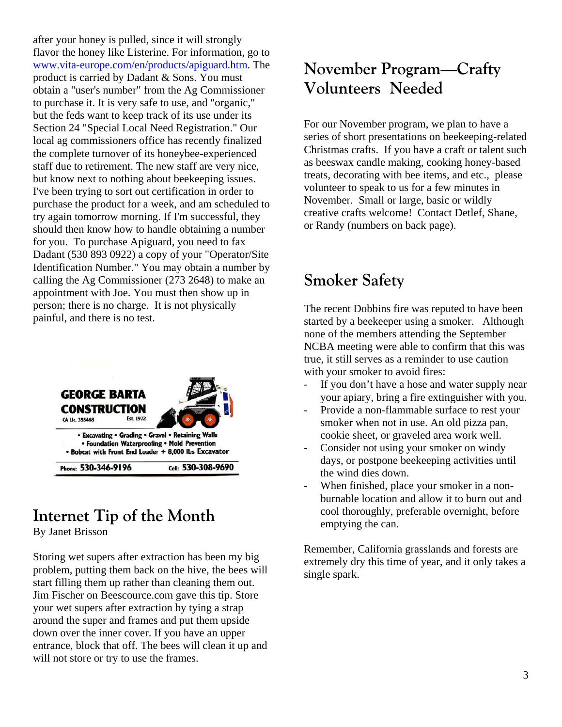after your honey is pulled, since it will strongly flavor the honey like Listerine. For information, go to www.vita-europe.com/en/products/apiguard.htm. The product is carried by Dadant & Sons. You must obtain a "user's number" from the Ag Commissioner to purchase it. It is very safe to use, and "organic," but the feds want to keep track of its use under its Section 24 "Special Local Need Registration." Our local ag commissioners office has recently finalized the complete turnover of its honeybee-experienced staff due to retirement. The new staff are very nice, but know next to nothing about beekeeping issues. I've been trying to sort out certification in order to purchase the product for a week, and am scheduled to try again tomorrow morning. If I'm successful, they should then know how to handle obtaining a number for you. To purchase Apiguard, you need to fax Dadant (530 893 0922) a copy of your "Operator/Site Identification Number." You may obtain a number by calling the Ag Commissioner (273 2648) to make an appointment with Joe. You must then show up in person; there is no charge. It is not physically painful, and there is no test.



# **Internet Tip of the Month**

By Janet Brisson

Storing wet supers after extraction has been my big problem, putting them back on the hive, the bees will start filling them up rather than cleaning them out. Jim Fischer on Beescource.com gave this tip. Store your wet supers after extraction by tying a strap around the super and frames and put them upside down over the inner cover. If you have an upper entrance, block that off. The bees will clean it up and will not store or try to use the frames.

# **November Program—Crafty Volunteers Needed**

For our November program, we plan to have a series of short presentations on beekeeping-related Christmas crafts. If you have a craft or talent such as beeswax candle making, cooking honey-based treats, decorating with bee items, and etc., please volunteer to speak to us for a few minutes in November. Small or large, basic or wildly creative crafts welcome! Contact Detlef, Shane, or Randy (numbers on back page).

# **Smoker Safety**

The recent Dobbins fire was reputed to have been started by a beekeeper using a smoker. Although none of the members attending the September NCBA meeting were able to confirm that this was true, it still serves as a reminder to use caution with your smoker to avoid fires:

- If you don't have a hose and water supply near your apiary, bring a fire extinguisher with you.
- Provide a non-flammable surface to rest your smoker when not in use. An old pizza pan, cookie sheet, or graveled area work well.
- Consider not using your smoker on windy days, or postpone beekeeping activities until the wind dies down.
- When finished, place your smoker in a nonburnable location and allow it to burn out and cool thoroughly, preferable overnight, before emptying the can.

Remember, California grasslands and forests are extremely dry this time of year, and it only takes a single spark.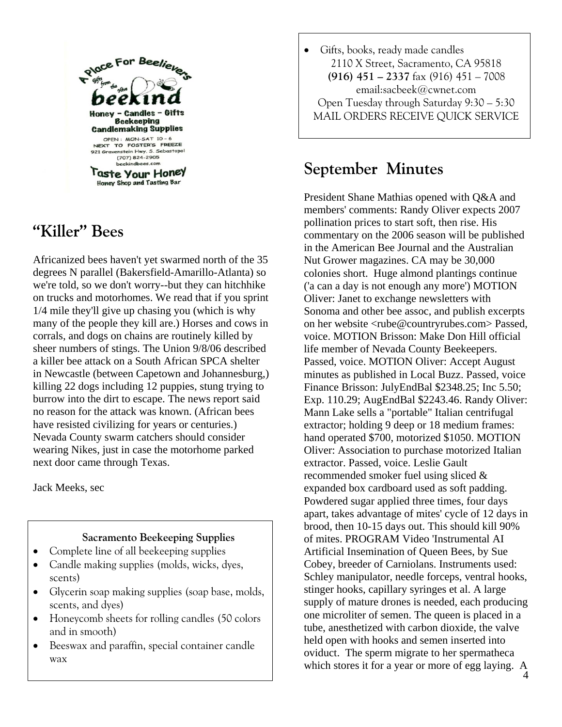

# **"Killer" Bees**

Africanized bees haven't yet swarmed north of the 35 degrees N parallel (Bakersfield-Amarillo-Atlanta) so we're told, so we don't worry--but they can hitchhike on trucks and motorhomes. We read that if you sprint 1/4 mile they'll give up chasing you (which is why many of the people they kill are.) Horses and cows in corrals, and dogs on chains are routinely killed by sheer numbers of stings. The Union 9/8/06 described a killer bee attack on a South African SPCA shelter in Newcastle (between Capetown and Johannesburg,) killing 22 dogs including 12 puppies, stung trying to burrow into the dirt to escape. The news report said no reason for the attack was known. (African bees have resisted civilizing for years or centuries.) Nevada County swarm catchers should consider wearing Nikes, just in case the motorhome parked next door came through Texas.

Jack Meeks, sec

#### **Sacramento Beekeeping Supplies**

- Complete line of all beekeeping supplies
- Candle making supplies (molds, wicks, dyes, scents)
- Glycerin soap making supplies (soap base, molds, scents, and dyes)
- Honeycomb sheets for rolling candles (50 colors and in smooth)
- Beeswax and paraffin, special container candle wax

• Gifts, books, ready made candles 2110 X Street, Sacramento, CA 95818 **(916) 451 – 2337** fax (916) 451 – 7008 email:sacbeek@cwnet.com Open Tuesday through Saturday 9:30 – 5:30 MAIL ORDERS RECEIVE QUICK SERVICE

## **September Minutes**

President Shane Mathias opened with Q&A and members' comments: Randy Oliver expects 2007 pollination prices to start soft, then rise. His commentary on the 2006 season will be published in the American Bee Journal and the Australian Nut Grower magazines. CA may be 30,000 colonies short. Huge almond plantings continue ('a can a day is not enough any more') MOTION Oliver: Janet to exchange newsletters with Sonoma and other bee assoc, and publish excerpts on her website <rube@countryrubes.com> Passed, voice. MOTION Brisson: Make Don Hill official life member of Nevada County Beekeepers. Passed, voice. MOTION Oliver: Accept August minutes as published in Local Buzz. Passed, voice Finance Brisson: JulyEndBal \$2348.25; Inc 5.50; Exp. 110.29; AugEndBal \$2243.46. Randy Oliver: Mann Lake sells a "portable" Italian centrifugal extractor; holding 9 deep or 18 medium frames: hand operated \$700, motorized \$1050. MOTION Oliver: Association to purchase motorized Italian extractor. Passed, voice. Leslie Gault recommended smoker fuel using sliced & expanded box cardboard used as soft padding. Powdered sugar applied three times, four days apart, takes advantage of mites' cycle of 12 days in brood, then 10-15 days out. This should kill 90% of mites. PROGRAM Video 'Instrumental AI Artificial Insemination of Queen Bees, by Sue Cobey, breeder of Carniolans. Instruments used: Schley manipulator, needle forceps, ventral hooks, stinger hooks, capillary syringes et al. A large supply of mature drones is needed, each producing one microliter of semen. The queen is placed in a tube, anesthetized with carbon dioxide, the valve held open with hooks and semen inserted into oviduct. The sperm migrate to her spermatheca which stores it for a year or more of egg laying. A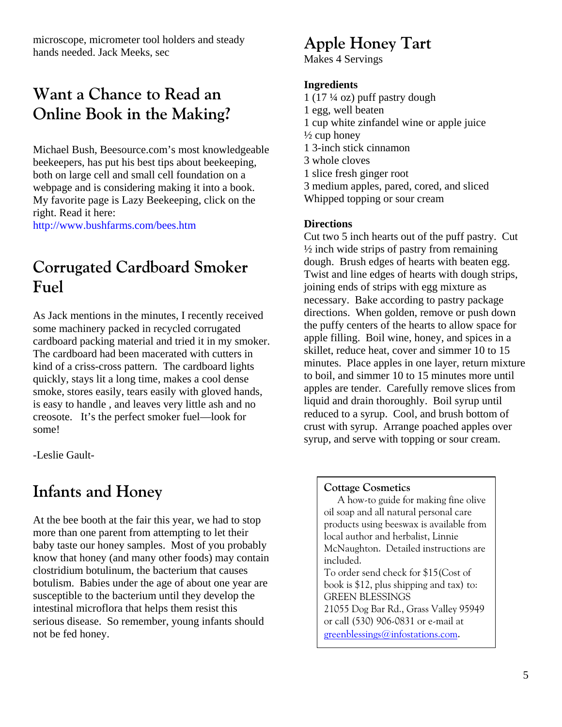microscope, micrometer tool holders and steady hands needed. Jack Meeks, sec

## **Want a Chance to Read an Online Book in the Making?**

Michael Bush, Beesource.com's most knowledgeable beekeepers, has put his best tips about beekeeping, both on large cell and small cell foundation on a webpage and is considering making it into a book. My favorite page is Lazy Beekeeping, click on the right. Read it here:

http://www.bushfarms.com/bees.htm

## **Corrugated Cardboard Smoker Fuel**

As Jack mentions in the minutes, I recently received some machinery packed in recycled corrugated cardboard packing material and tried it in my smoker. The cardboard had been macerated with cutters in kind of a criss-cross pattern. The cardboard lights quickly, stays lit a long time, makes a cool dense smoke, stores easily, tears easily with gloved hands, is easy to handle , and leaves very little ash and no creosote. It's the perfect smoker fuel—look for some!

-Leslie Gault-

### **Infants and Honey**

At the bee booth at the fair this year, we had to stop more than one parent from attempting to let their baby taste our honey samples. Most of you probably know that honey (and many other foods) may contain clostridium botulinum, the bacterium that causes botulism. Babies under the age of about one year are susceptible to the bacterium until they develop the intestinal microflora that helps them resist this serious disease. So remember, young infants should not be fed honey.

### **Apple Honey Tart**

Makes 4 Servings

#### **Ingredients**

 $1(17\frac{1}{4}$  oz) puff pastry dough 1 egg, well beaten 1 cup white zinfandel wine or apple juice  $\frac{1}{2}$  cup honey 1 3-inch stick cinnamon 3 whole cloves 1 slice fresh ginger root 3 medium apples, pared, cored, and sliced Whipped topping or sour cream

#### **Directions**

Cut two 5 inch hearts out of the puff pastry. Cut  $\frac{1}{2}$  inch wide strips of pastry from remaining dough. Brush edges of hearts with beaten egg. Twist and line edges of hearts with dough strips, joining ends of strips with egg mixture as necessary. Bake according to pastry package directions. When golden, remove or push down the puffy centers of the hearts to allow space for apple filling. Boil wine, honey, and spices in a skillet, reduce heat, cover and simmer 10 to 15 minutes. Place apples in one layer, return mixture to boil, and simmer 10 to 15 minutes more until apples are tender. Carefully remove slices from liquid and drain thoroughly. Boil syrup until reduced to a syrup. Cool, and brush bottom of crust with syrup. Arrange poached apples over syrup, and serve with topping or sour cream.

#### **Cottage Cosmetics**

A how-to guide for making fine olive oil soap and all natural personal care products using beeswax is available from local author and herbalist, Linnie McNaughton. Detailed instructions are included. To order send check for \$15(Cost of book is \$12, plus shipping and tax) to: GREEN BLESSINGS 21055 Dog Bar Rd., Grass Valley 95949 or call (530) 906-0831 or e-mail at

greenblessings@infostations.com.